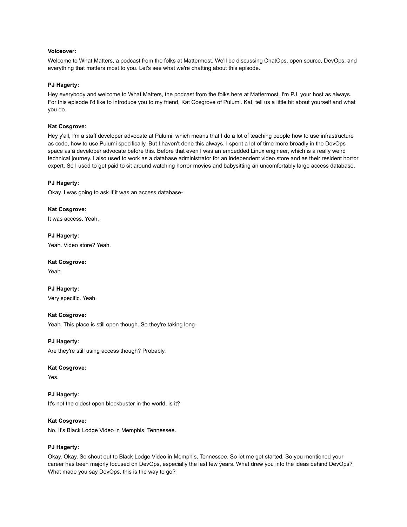### **Voiceover:**

Welcome to What Matters, a podcast from the folks at Mattermost. We'll be discussing ChatOps, open source, DevOps, and everything that matters most to you. Let's see what we're chatting about this episode.

### **PJ Hagerty:**

Hey everybody and welcome to What Matters, the podcast from the folks here at Mattermost. I'm PJ, your host as always. For this episode I'd like to introduce you to my friend, Kat Cosgrove of Pulumi. Kat, tell us a little bit about yourself and what you do.

### **Kat Cosgrove:**

Hey y'all, I'm a staff developer advocate at Pulumi, which means that I do a lot of teaching people how to use infrastructure as code, how to use Pulumi specifically. But I haven't done this always. I spent a lot of time more broadly in the DevOps space as a developer advocate before this. Before that even I was an embedded Linux engineer, which is a really weird technical journey. I also used to work as a database administrator for an independent video store and as their resident horror expert. So I used to get paid to sit around watching horror movies and babysitting an uncomfortably large access database.

### **PJ Hagerty:**

Okay. I was going to ask if it was an access database-

### **Kat Cosgrove:**

It was access. Yeah.

**PJ Hagerty:** Yeah. Video store? Yeah.

**Kat Cosgrove:** Yeah.

**PJ Hagerty:** Very specific. Yeah.

# **Kat Cosgrove:**

Yeah. This place is still open though. So they're taking long-

# **PJ Hagerty:**

Are they're still using access though? Probably.

### **Kat Cosgrove:**

Yes.

**PJ Hagerty:** It's not the oldest open blockbuster in the world, is it?

### **Kat Cosgrove:**

No. It's Black Lodge Video in Memphis, Tennessee.

### **PJ Hagerty:**

Okay. Okay. So shout out to Black Lodge Video in Memphis, Tennessee. So let me get started. So you mentioned your career has been majorly focused on DevOps, especially the last few years. What drew you into the ideas behind DevOps? What made you say DevOps, this is the way to go?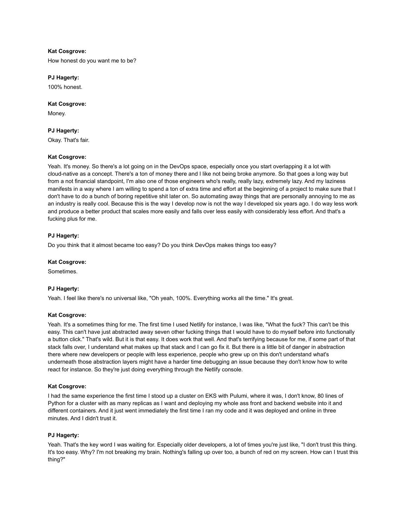# **Kat Cosgrove:**

How honest do you want me to be?

# **PJ Hagerty:**

100% honest.

# **Kat Cosgrove:**

Money.

# **PJ Hagerty:**

Okay. That's fair.

# **Kat Cosgrove:**

Yeah. It's money. So there's a lot going on in the DevOps space, especially once you start overlapping it a lot with cloud-native as a concept. There's a ton of money there and I like not being broke anymore. So that goes a long way but from a not financial standpoint, I'm also one of those engineers who's really, really lazy, extremely lazy. And my laziness manifests in a way where I am willing to spend a ton of extra time and effort at the beginning of a project to make sure that I don't have to do a bunch of boring repetitive shit later on. So automating away things that are personally annoying to me as an industry is really cool. Because this is the way I develop now is not the way I developed six years ago. I do way less work and produce a better product that scales more easily and falls over less easily with considerably less effort. And that's a fucking plus for me.

# **PJ Hagerty:**

Do you think that it almost became too easy? Do you think DevOps makes things too easy?

# **Kat Cosgrove:**

Sometimes.

# **PJ Hagerty:**

Yeah. I feel like there's no universal like, "Oh yeah, 100%. Everything works all the time." It's great.

# **Kat Cosgrove:**

Yeah. It's a sometimes thing for me. The first time I used Netlify for instance, I was like, "What the fuck? This can't be this easy. This can't have just abstracted away seven other fucking things that I would have to do myself before into functionally a button click." That's wild. But it is that easy. It does work that well. And that's terrifying because for me, if some part of that stack falls over, I understand what makes up that stack and I can go fix it. But there is a little bit of danger in abstraction there where new developers or people with less experience, people who grew up on this don't understand what's underneath those abstraction layers might have a harder time debugging an issue because they don't know how to write react for instance. So they're just doing everything through the Netlify console.

### **Kat Cosgrove:**

I had the same experience the first time I stood up a cluster on EKS with Pulumi, where it was, I don't know, 80 lines of Python for a cluster with as many replicas as I want and deploying my whole ass front and backend website into it and different containers. And it just went immediately the first time I ran my code and it was deployed and online in three minutes. And I didn't trust it.

### **PJ Hagerty:**

Yeah. That's the key word I was waiting for. Especially older developers, a lot of times you're just like, "I don't trust this thing. It's too easy. Why? I'm not breaking my brain. Nothing's falling up over too, a bunch of red on my screen. How can I trust this thing?"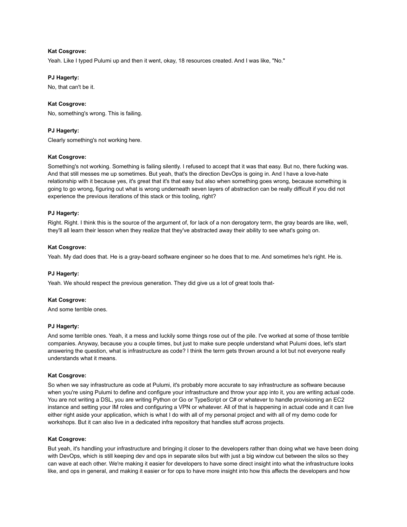# **Kat Cosgrove:**

Yeah. Like I typed Pulumi up and then it went, okay, 18 resources created. And I was like, "No."

# **PJ Hagerty:**

No, that can't be it.

# **Kat Cosgrove:**

No, something's wrong. This is failing.

# **PJ Hagerty:**

Clearly something's not working here.

# **Kat Cosgrove:**

Something's not working. Something is failing silently. I refused to accept that it was that easy. But no, there fucking was. And that still messes me up sometimes. But yeah, that's the direction DevOps is going in. And I have a love-hate relationship with it because yes, it's great that it's that easy but also when something goes wrong, because something is going to go wrong, figuring out what is wrong underneath seven layers of abstraction can be really difficult if you did not experience the previous iterations of this stack or this tooling, right?

# **PJ Hagerty:**

Right. Right. I think this is the source of the argument of, for lack of a non derogatory term, the gray beards are like, well, they'll all learn their lesson when they realize that they've abstracted away their ability to see what's going on.

# **Kat Cosgrove:**

Yeah. My dad does that. He is a gray-beard software engineer so he does that to me. And sometimes he's right. He is.

# **PJ Hagerty:**

Yeah. We should respect the previous generation. They did give us a lot of great tools that-

### **Kat Cosgrove:**

And some terrible ones.

### **PJ Hagerty:**

And some terrible ones. Yeah, it a mess and luckily some things rose out of the pile. I've worked at some of those terrible companies. Anyway, because you a couple times, but just to make sure people understand what Pulumi does, let's start answering the question, what is infrastructure as code? I think the term gets thrown around a lot but not everyone really understands what it means.

### **Kat Cosgrove:**

So when we say infrastructure as code at Pulumi, it's probably more accurate to say infrastructure as software because when you're using Pulumi to define and configure your infrastructure and throw your app into it, you are writing actual code. You are not writing a DSL, you are writing Python or Go or TypeScript or C# or whatever to handle provisioning an EC2 instance and setting your IM roles and configuring a VPN or whatever. All of that is happening in actual code and it can live either right aside your application, which is what I do with all of my personal project and with all of my demo code for workshops. But it can also live in a dedicated infra repository that handles stuff across projects.

# **Kat Cosgrove:**

But yeah, it's handling your infrastructure and bringing it closer to the developers rather than doing what we have been doing with DevOps, which is still keeping dev and ops in separate silos but with just a big window cut between the silos so they can wave at each other. We're making it easier for developers to have some direct insight into what the infrastructure looks like, and ops in general, and making it easier or for ops to have more insight into how this affects the developers and how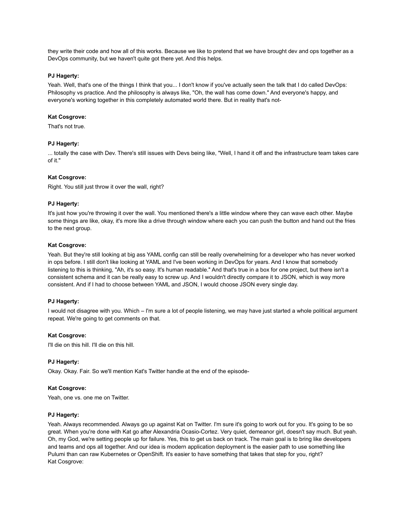they write their code and how all of this works. Because we like to pretend that we have brought dev and ops together as a DevOps community, but we haven't quite got there yet. And this helps.

### **PJ Hagerty:**

Yeah. Well, that's one of the things I think that you... I don't know if you've actually seen the talk that I do called DevOps: Philosophy vs practice. And the philosophy is always like, "Oh, the wall has come down." And everyone's happy, and everyone's working together in this completely automated world there. But in reality that's not-

# **Kat Cosgrove:**

That's not true.

# **PJ Hagerty:**

... totally the case with Dev. There's still issues with Devs being like, "Well, I hand it off and the infrastructure team takes care of it."

# **Kat Cosgrove:**

Right. You still just throw it over the wall, right?

### **PJ Hagerty:**

It's just how you're throwing it over the wall. You mentioned there's a little window where they can wave each other. Maybe some things are like, okay, it's more like a drive through window where each you can push the button and hand out the fries to the next group.

### **Kat Cosgrove:**

Yeah. But they're still looking at big ass YAML config can still be really overwhelming for a developer who has never worked in ops before. I still don't like looking at YAML and I've been working in DevOps for years. And I know that somebody listening to this is thinking, "Ah, it's so easy. It's human readable." And that's true in a box for one project, but there isn't a consistent schema and it can be really easy to screw up. And I wouldn't directly compare it to JSON, which is way more consistent. And if I had to choose between YAML and JSON, I would choose JSON every single day.

### **PJ Hagerty:**

I would not disagree with you. Which – I'm sure a lot of people listening, we may have just started a whole political argument repeat. We're going to get comments on that.

### **Kat Cosgrove:**

I'll die on this hill. I'll die on this hill.

# **PJ Hagerty:**

Okay. Okay. Fair. So we'll mention Kat's Twitter handle at the end of the episode-

### **Kat Cosgrove:**

Yeah, one vs. one me on Twitter.

### **PJ Hagerty:**

Yeah. Always recommended. Always go up against Kat on Twitter. I'm sure it's going to work out for you. It's going to be so great. When you're done with Kat go after Alexandria Ocasio-Cortez. Very quiet, demeanor girl, doesn't say much. But yeah. Oh, my God, we're setting people up for failure. Yes, this to get us back on track. The main goal is to bring like developers and teams and ops all together. And our idea is modern application deployment is the easier path to use something like Pulumi than can raw Kubernetes or OpenShift. It's easier to have something that takes that step for you, right? Kat Cosgrove: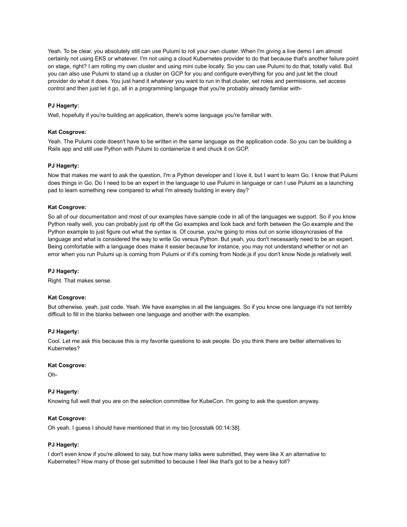Yeah. To be clear, you absolutely still can use Pulumi to roll your own cluster. When I'm giving a live demo I am almost certainly not using EKS or whatever. I'm not using a cloud Kubernetes provider to do that because that's another failure point on stage, right? I am rolling my own cluster and using mini cube locally. So you can use Pulumi to do that, totally valid. But you can also use Pulumi to stand up a cluster on GCP for you and configure everything for you and just let the cloud provider do what it does. You just hand it whatever you want to run in that cluster, set roles and permissions, set access control and then just let it go, all in a programming language that you're probably already familiar with-

# **PJ Hagerty:**

Well, hopefully if you're building an application, there's some language you're familiar with.

# **Kat Cosgrove:**

Yeah. The Pulumi code doesn't have to be written in the same language as the application code. So you can be building a Rails app and still use Python with Pulumi to containerize it and chuck it on GCP.

# **PJ Hagerty:**

Now that makes me want to ask the question, I'm a Python developer and I love it, but I want to learn Go. I know that Pulumi does things in Go. Do I need to be an expert in the language to use Pulumi in language or can I use Pulumi as a launching pad to learn something new compared to what I'm already building in every day?

# **Kat Cosgrove:**

So all of our documentation and most of our examples have sample code in all of the languages we support. So if you know Python really well, you can probably just rip off the Go examples and look back and forth between the Go example and the Python example to just figure out what the syntax is. Of course, you're going to miss out on some idiosyncrasies of the language and what is considered the way to write Go versus Python. But yeah, you don't necessarily need to be an expert. Being comfortable with a language does make it easier because for instance, you may not understand whether or not an error when you run Pulumi up is coming from Pulumi or if it's coming from Node.js if you don't know Node.js relatively well.

### **PJ Hagerty:**

Right. That makes sense.

### **Kat Cosgrove:**

But otherwise, yeah, just code. Yeah. We have examples in all the languages. So if you know one language it's not terribly difficult to fill in the blanks between one language and another with the examples.

### **PJ Hagerty:**

Cool. Let me ask this because this is my favorite questions to ask people. Do you think there are better alternatives to Kubernetes?

### **Kat Cosgrove:**

Oh-

# **PJ Hagerty:**

Knowing full well that you are on the selection committee for KubeCon. I'm going to ask the question anyway.

### **Kat Cosgrove:**

Oh yeah. I guess I should have mentioned that in my bio [crosstalk 00:14:38].

### **PJ Hagerty:**

I don't even know if you're allowed to say, but how many talks were submitted, they were like X an alternative to Kubernetes? How many of those get submitted to because I feel like that's got to be a heavy toll?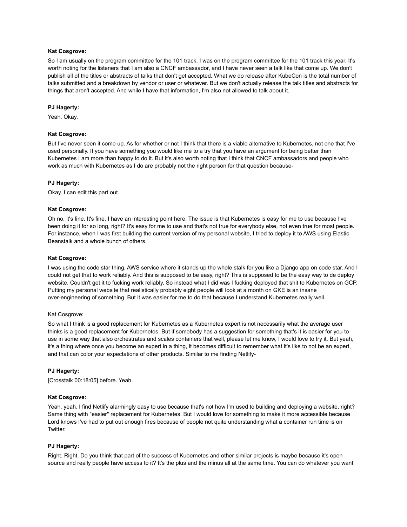# **Kat Cosgrove:**

So I am usually on the program committee for the 101 track. I was on the program committee for the 101 track this year. It's worth noting for the listeners that I am also a CNCF ambassador, and I have never seen a talk like that come up. We don't publish all of the titles or abstracts of talks that don't get accepted. What we do release after KubeCon is the total number of talks submitted and a breakdown by vendor or user or whatever. But we don't actually release the talk titles and abstracts for things that aren't accepted. And while I have that information, I'm also not allowed to talk about it.

# **PJ Hagerty:**

Yeah. Okay.

# **Kat Cosgrove:**

But I've never seen it come up. As for whether or not I think that there is a viable alternative to Kubernetes, not one that I've used personally. If you have something you would like me to a try that you have an argument for being better than Kubernetes I am more than happy to do it. But it's also worth noting that I think that CNCF ambassadors and people who work as much with Kubernetes as I do are probably not the right person for that question because-

# **PJ Hagerty:**

Okay. I can edit this part out.

# **Kat Cosgrove:**

Oh no, it's fine. It's fine. I have an interesting point here. The issue is that Kubernetes is easy for me to use because I've been doing it for so long, right? It's easy for me to use and that's not true for everybody else, not even true for most people. For instance, when I was first building the current version of my personal website, I tried to deploy it to AWS using Elastic Beanstalk and a whole bunch of others.

# **Kat Cosgrove:**

I was using the code star thing, AWS service where it stands up the whole stalk for you like a Django app on code star. And I could not get that to work reliably. And this is supposed to be easy, right? This is supposed to be the easy way to de deploy website. Couldn't get it to fucking work reliably. So instead what I did was I fucking deployed that shit to Kubernetes on GCP. Putting my personal website that realistically probably eight people will look at a month on GKE is an insane over-engineering of something. But it was easier for me to do that because I understand Kubernetes really well.

### Kat Cosgrove:

So what I think is a good replacement for Kubernetes as a Kubernetes expert is not necessarily what the average user thinks is a good replacement for Kubernetes. But if somebody has a suggestion for something that's it is easier for you to use in some way that also orchestrates and scales containers that well, please let me know, I would love to try it. But yeah, it's a thing where once you become an expert in a thing, it becomes difficult to remember what it's like to not be an expert, and that can color your expectations of other products. Similar to me finding Netlify-

# **PJ Hagerty:**

[Crosstalk 00:18:05] before. Yeah.

### **Kat Cosgrove:**

Yeah, yeah. I find Netlify alarmingly easy to use because that's not how I'm used to building and deploying a website, right? Same thing with "easier" replacement for Kubernetes. But I would love for something to make it more accessible because Lord knows I've had to put out enough fires because of people not quite understanding what a container run time is on Twitter.

# **PJ Hagerty:**

Right. Right. Do you think that part of the success of Kubernetes and other similar projects is maybe because it's open source and really people have access to it? It's the plus and the minus all at the same time. You can do whatever you want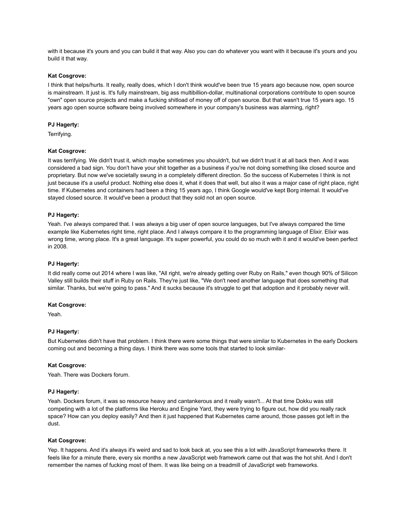with it because it's yours and you can build it that way. Also you can do whatever you want with it because it's yours and you build it that way.

# **Kat Cosgrove:**

I think that helps/hurts. It really, really does, which I don't think would've been true 15 years ago because now, open source is mainstream. It just is. It's fully mainstream, big ass multibillion-dollar, multinational corporations contribute to open source "own" open source projects and make a fucking shitload of money off of open source. But that wasn't true 15 years ago. 15 years ago open source software being involved somewhere in your company's business was alarming, right?

# **PJ Hagerty:**

Terrifying.

#### **Kat Cosgrove:**

It was terrifying. We didn't trust it, which maybe sometimes you shouldn't, but we didn't trust it at all back then. And it was considered a bad sign. You don't have your shit together as a business if you're not doing something like closed source and proprietary. But now we've societally swung in a completely different direction. So the success of Kubernetes I think is not just because it's a useful product. Nothing else does it, what it does that well, but also it was a major case of right place, right time. If Kubernetes and containers had been a thing 15 years ago, I think Google would've kept Borg internal. It would've stayed closed source. It would've been a product that they sold not an open source.

#### **PJ Hagerty:**

Yeah. I've always compared that. I was always a big user of open source languages, but I've always compared the time example like Kubernetes right time, right place. And I always compare it to the programming language of Elixir. Elixir was wrong time, wrong place. It's a great language. It's super powerful, you could do so much with it and it would've been perfect in 2008.

#### **PJ Hagerty:**

It did really come out 2014 where I was like, "All right, we're already getting over Ruby on Rails," even though 90% of Silicon Valley still builds their stuff in Ruby on Rails. They're just like, "We don't need another language that does something that similar. Thanks, but we're going to pass." And it sucks because it's struggle to get that adoption and it probably never will.

#### **Kat Cosgrove:**

Yeah.

### **PJ Hagerty:**

But Kubernetes didn't have that problem. I think there were some things that were similar to Kubernetes in the early Dockers coming out and becoming a thing days. I think there was some tools that started to look similar-

#### **Kat Cosgrove:**

Yeah. There was Dockers forum.

### **PJ Hagerty:**

Yeah. Dockers forum, it was so resource heavy and cantankerous and it really wasn't... At that time Dokku was still competing with a lot of the platforms like Heroku and Engine Yard, they were trying to figure out, how did you really rack space? How can you deploy easily? And then it just happened that Kubernetes came around, those passes got left in the dust.

#### **Kat Cosgrove:**

Yep. It happens. And it's always it's weird and sad to look back at, you see this a lot with JavaScript frameworks there. It feels like for a minute there, every six months a new JavaScript web framework came out that was the hot shit. And I don't remember the names of fucking most of them. It was like being on a treadmill of JavaScript web frameworks.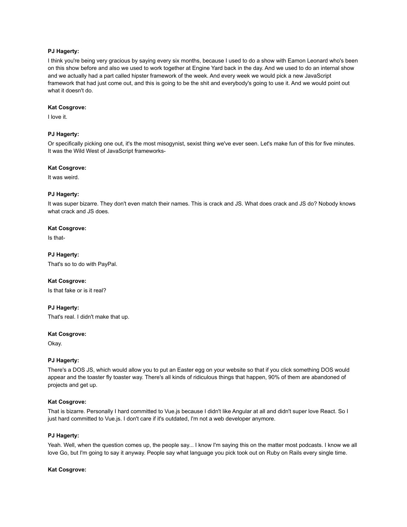# **PJ Hagerty:**

I think you're being very gracious by saying every six months, because I used to do a show with Eamon Leonard who's been on this show before and also we used to work together at Engine Yard back in the day. And we used to do an internal show and we actually had a part called hipster framework of the week. And every week we would pick a new JavaScript framework that had just come out, and this is going to be the shit and everybody's going to use it. And we would point out what it doesn't do.

### **Kat Cosgrove:**

I love it.

# **PJ Hagerty:**

Or specifically picking one out, it's the most misogynist, sexist thing we've ever seen. Let's make fun of this for five minutes. It was the Wild West of JavaScript frameworks-

### **Kat Cosgrove:**

It was weird.

### **PJ Hagerty:**

It was super bizarre. They don't even match their names. This is crack and JS. What does crack and JS do? Nobody knows what crack and JS does.

### **Kat Cosgrove:**

Is that-

**PJ Hagerty:** That's so to do with PayPal.

### **Kat Cosgrove:**

Is that fake or is it real?

# **PJ Hagerty:**

That's real. I didn't make that up.

### **Kat Cosgrove:**

Okay.

### **PJ Hagerty:**

There's a DOS JS, which would allow you to put an Easter egg on your website so that if you click something DOS would appear and the toaster fly toaster way. There's all kinds of ridiculous things that happen, 90% of them are abandoned of projects and get up.

### **Kat Cosgrove:**

That is bizarre. Personally I hard committed to Vue.js because I didn't like Angular at all and didn't super love React. So I just hard committed to Vue.js. I don't care if it's outdated, I'm not a web developer anymore.

# **PJ Hagerty:**

Yeah. Well, when the question comes up, the people say... I know I'm saying this on the matter most podcasts. I know we all love Go, but I'm going to say it anyway. People say what language you pick took out on Ruby on Rails every single time.

### **Kat Cosgrove:**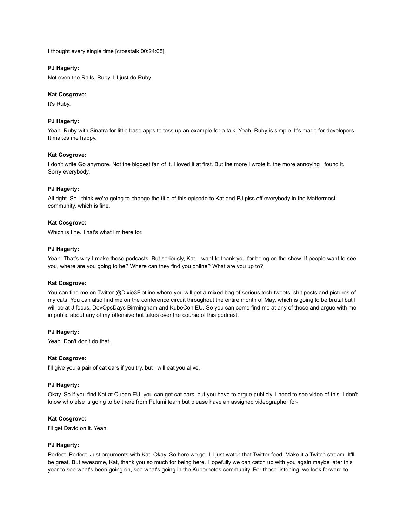I thought every single time [crosstalk 00:24:05].

# **PJ Hagerty:**

Not even the Rails, Ruby. I'll just do Ruby.

### **Kat Cosgrove:**

It's Ruby.

# **PJ Hagerty:**

Yeah. Ruby with Sinatra for little base apps to toss up an example for a talk. Yeah. Ruby is simple. It's made for developers. It makes me happy.

# **Kat Cosgrove:**

I don't write Go anymore. Not the biggest fan of it. I loved it at first. But the more I wrote it, the more annoying I found it. Sorry everybody.

# **PJ Hagerty:**

All right. So I think we're going to change the title of this episode to Kat and PJ piss off everybody in the Mattermost community, which is fine.

# **Kat Cosgrove:**

Which is fine. That's what I'm here for.

# **PJ Hagerty:**

Yeah. That's why I make these podcasts. But seriously, Kat, I want to thank you for being on the show. If people want to see you, where are you going to be? Where can they find you online? What are you up to?

### **Kat Cosgrove:**

You can find me on Twitter @Dixie3Flatline where you will get a mixed bag of serious tech tweets, shit posts and pictures of my cats. You can also find me on the conference circuit throughout the entire month of May, which is going to be brutal but I will be at J focus, DevOpsDays Birmingham and KubeCon EU. So you can come find me at any of those and argue with me in public about any of my offensive hot takes over the course of this podcast.

### **PJ Hagerty:**

Yeah. Don't don't do that.

# **Kat Cosgrove:**

I'll give you a pair of cat ears if you try, but I will eat you alive.

# **PJ Hagerty:**

Okay. So if you find Kat at Cuban EU, you can get cat ears, but you have to argue publicly. I need to see video of this. I don't know who else is going to be there from Pulumi team but please have an assigned videographer for-

### **Kat Cosgrove:**

I'll get David on it. Yeah.

### **PJ Hagerty:**

Perfect. Perfect. Just arguments with Kat. Okay. So here we go. I'll just watch that Twitter feed. Make it a Twitch stream. It'll be great. But awesome, Kat, thank you so much for being here. Hopefully we can catch up with you again maybe later this year to see what's been going on, see what's going in the Kubernetes community. For those listening, we look forward to